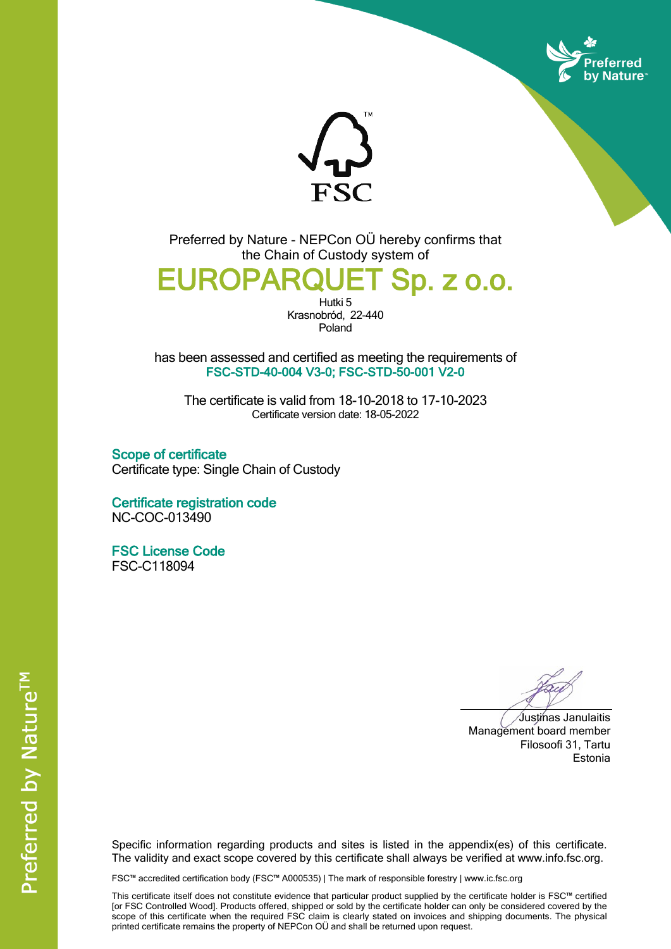



Preferred by Nature - NEPCon OÜ hereby confirms that the Chain of Custody system of

## **EUROPARQUET Sp. z o.o.**

Hutki<sub>5</sub> Krasnobród, 22-440 Poland

has been assessed and certified as meeting the requirements of **FSC-STD-40-004 V3-0; FSC-STD-50-001 V2-0**

The certificate is valid from 18-10-2018 to 17-10-2023 Certificate version date: 18-05-2022

**Scope of certificate** Certificate type: Single Chain of Custody

**Certificate registration code** NC-COC-013490

**FSC License Code** FSC-C118094

Justinas Janulaitis Management board member Filosoofi 31, Tartu Estonia

Specific information regarding products and sites is listed in the appendix(es) of this certificate. The validity and exact scope covered by this certificate shall always be verified at www.info.fsc.org.

FSC™ accredited certification body (FSC™ A000535) | The mark of responsible forestry | www.ic.fsc.org

This certificate itself does not constitute evidence that particular product supplied by the certificate holder is FSC™ certified [or FSC Controlled Wood]. Products offered, shipped or sold by the certificate holder can only be considered covered by the scope of this certificate when the required FSC claim is clearly stated on invoices and shipping documents. The physical printed certificate remains the property of NEPCon OÜ and shall be returned upon request.